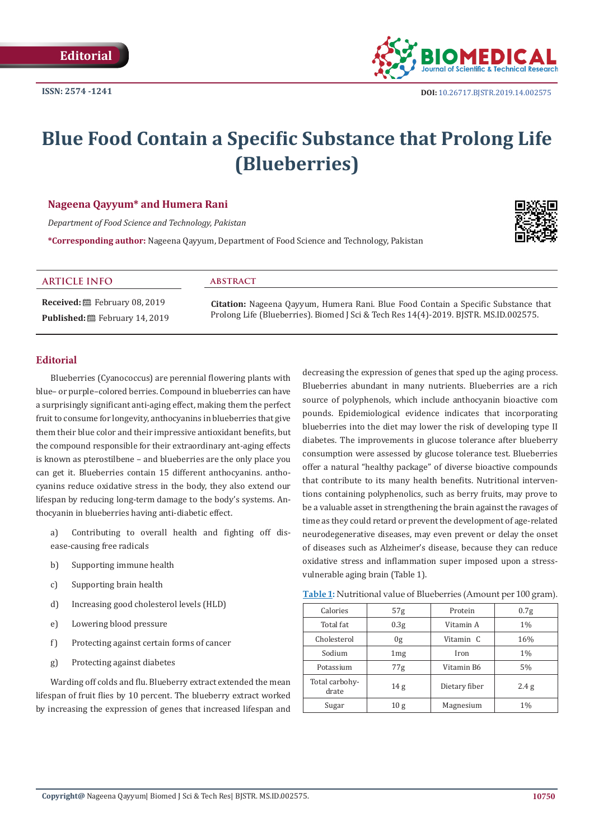

# **Blue Food Contain a Specific Substance that Prolong Life (Blueberries)**

### **Nageena Qayyum\* and Humera Rani**

*Department of Food Science and Technology, Pakistan* 

**\*Corresponding author:** Nageena Qayyum, Department of Food Science and Technology, Pakistan



#### **ARTICLE INFO abstract**

**Received:** February 08, 2019 Published: **■**February 14, 2019

**Citation:** Nageena Qayyum, Humera Rani. Blue Food Contain a Specific Substance that Prolong Life (Blueberries). Biomed J Sci & Tech Res 14(4)-2019. BJSTR. MS.ID.002575.

### **Editorial**

Blueberries (Cyanococcus) are perennial flowering plants with blue– or purple–colored berries. Compound in blueberries can have a surprisingly significant anti-aging effect, making them the perfect fruit to consume for longevity, anthocyanins in blueberries that give them their blue color and their impressive antioxidant benefits, but the compound responsible for their extraordinary ant-aging effects is known as pterostilbene – and blueberries are the only place you can get it. Blueberries contain 15 different anthocyanins. anthocyanins reduce oxidative stress in the body, they also extend our lifespan by reducing long-term damage to the body's systems. Anthocyanin in blueberries having anti-diabetic effect.

a) Contributing to overall health and fighting off disease-causing free radicals

- b) Supporting immune health
- c) Supporting brain health
- d) Increasing good cholesterol levels (HLD)
- e) Lowering blood pressure
- f) Protecting against certain forms of cancer
- g) Protecting against diabetes

Warding off colds and flu. Blueberry extract extended the mean lifespan of fruit flies by 10 percent. The blueberry extract worked by increasing the expression of genes that increased lifespan and

decreasing the expression of genes that sped up the aging process. Blueberries abundant in many nutrients. Blueberries are a rich source of polyphenols, which include anthocyanin bioactive com pounds. Epidemiological evidence indicates that incorporating blueberries into the diet may lower the risk of developing type II diabetes. The improvements in glucose tolerance after blueberry consumption were assessed by glucose tolerance test. Blueberries offer a natural "healthy package" of diverse bioactive compounds that contribute to its many health benefits. Nutritional interventions containing polyphenolics, such as berry fruits, may prove to be a valuable asset in strengthening the brain against the ravages of time as they could retard or prevent the development of age-related neurodegenerative diseases, may even prevent or delay the onset of diseases such as Alzheimer's disease, because they can reduce oxidative stress and inflammation super imposed upon a stressvulnerable aging brain (Table 1).

| Table 1: Nutritional value of Blueberries (Amount per 100 gram). |  |  |  |
|------------------------------------------------------------------|--|--|--|
|------------------------------------------------------------------|--|--|--|

| Calories                | 57 <sub>g</sub>  | Protein       | 0.7 <sub>g</sub> |
|-------------------------|------------------|---------------|------------------|
| Total fat               | 0.3 <sub>g</sub> | Vitamin A     | $1\%$            |
| Cholesterol             | 0g               | Vitamin C     | 16%              |
| Sodium                  | 1mg              | Iron          | $1\%$            |
| Potassium               | 77g              | Vitamin B6    | 5%               |
| Total carbohy-<br>drate | 14 <sub>g</sub>  | Dietary fiber | 2.4 g            |
| Sugar                   | 10 <sub>g</sub>  | Magnesium     | 1%               |